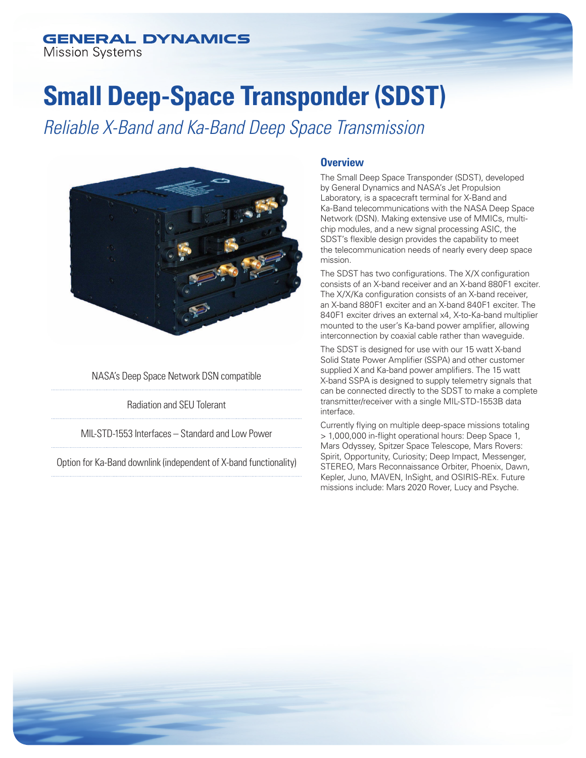## **GENERAL DYNAMICS**

**Mission Systems** 

# **Small Deep-Space Transponder (SDST)**

*Reliable X-Band and Ka-Band Deep Space Transmission*



NASA's Deep Space Network DSN compatible

Radiation and SEU Tolerant

MIL-STD-1553 Interfaces – Standard and Low Power

Option for Ka-Band downlink (independent of X-band functionality)

#### **Overview**

The Small Deep Space Transponder (SDST), developed by General Dynamics and NASA's Jet Propulsion Laboratory, is a spacecraft terminal for X-Band and Ka-Band telecommunications with the NASA Deep Space Network (DSN). Making extensive use of MMICs, multichip modules, and a new signal processing ASIC, the SDST's flexible design provides the capability to meet the telecommunication needs of nearly every deep space mission.

The SDST has two configurations. The X/X configuration consists of an X-band receiver and an X-band 880F1 exciter. The X/X/Ka configuration consists of an X-band receiver, an X-band 880F1 exciter and an X-band 840F1 exciter. The 840F1 exciter drives an external x4, X-to-Ka-band multiplier mounted to the user's Ka-band power amplifier, allowing interconnection by coaxial cable rather than waveguide.

The SDST is designed for use with our 15 watt X-band Solid State Power Amplifier (SSPA) and other customer supplied X and Ka-band power amplifiers. The 15 watt X-band SSPA is designed to supply telemetry signals that can be connected directly to the SDST to make a complete transmitter/receiver with a single MIL-STD-1553B data interface.

Currently flying on multiple deep-space missions totaling > 1,000,000 in-flight operational hours: Deep Space 1, Mars Odyssey, Spitzer Space Telescope, Mars Rovers: Spirit, Opportunity, Curiosity; Deep Impact, Messenger, STEREO, Mars Reconnaissance Orbiter, Phoenix, Dawn, Kepler, Juno, MAVEN, InSight, and OSIRIS-REx. Future missions include: Mars 2020 Rover, Lucy and Psyche.